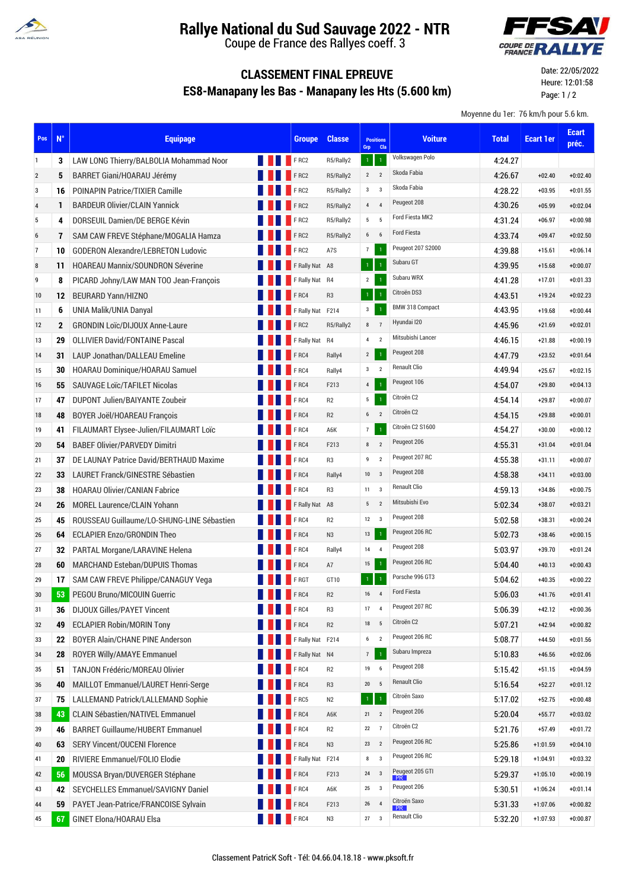

## **Rallye National du Sud Sauvage 2022 - NTR**

Coupe de France des Rallyes coeff. 3



## **CLASSEMENT FINAL EPREUVE ES8-Manapany les Bas - Manapany les Hts (5.600 km)**

Date: 22/05/2022 Heure: 12:01:58 Page: 1 / 2

Moyenne du 1er: 76 km/h pour 5.6 km.

| Pos            | $N^{\circ}$  | <b>Equipage</b>                            |                        | <b>Groupe</b>       | <b>Classe</b>  | Grp                  | <b>Positions</b><br>Cla | <b>Voiture</b>       | <b>Total</b> | <b>Ecart 1er</b> | <b>Ecart</b><br>préc. |
|----------------|--------------|--------------------------------------------|------------------------|---------------------|----------------|----------------------|-------------------------|----------------------|--------------|------------------|-----------------------|
| 1              | 3            | LAW LONG Thierry/BALBOLIA Mohammad Noor    |                        | <b>FRC2</b>         | R5/Rally2      | $\mathbf{1}$         | $\overline{1}$          | Volkswagen Polo      | 4.24.27      |                  |                       |
| $\overline{2}$ | 5            | BARRET Giani/HOARAU Jérémy                 |                        | <b>FRC2</b>         | R5/Rally2      | $\overline{2}$       | $\overline{2}$          | Skoda Fabia          | 4:26.67      | $+02.40$         | $+0:02.40$            |
| 3              | 16           | <b>POINAPIN Patrice/TIXIER Camille</b>     |                        | FRC2                | R5/Rally2      | $3^3$                |                         | Skoda Fabia          | 4:28.22      | $+03.95$         | $+0:01.55$            |
| 4              | 1            | <b>BARDEUR Olivier/CLAIN Yannick</b>       |                        | FRC2                | R5/Rally2      | $\overline{4}$       | $\overline{4}$          | Peugeot 208          | 4.30.26      | $+05.99$         | $+0:02.04$            |
| 5              | 4            | DORSEUIL Damien/DE BERGE Kévin             |                        | FRC2                | R5/Rally2      | 5 <sub>5</sub>       | 5                       | Ford Fiesta MK2      | 4:31.24      | $+06.97$         | $+0:00.98$            |
| 6              | 7            | SAM CAW FREVE Stéphane/MOGALIA Hamza       |                        | FRC2                | R5/Rally2      | $6\qquad 6$          |                         | <b>Ford Fiesta</b>   | 4.33.74      | $+09.47$         | $+0:02.50$            |
| 7              | 10           | <b>GODERON Alexandre/LEBRETON Ludovic</b>  |                        | F <sub>RC2</sub>    | A7S            | $\overline{7}$       | $\mathbf{1}$            | Peugeot 207 S2000    | 4:39.88      | $+15.61$         | $+0:06.14$            |
| 8              | 11           | <b>HOAREAU Mannix/SOUNDRON Séverine</b>    |                        | F Rally Nat A8      |                | $\,1\,$              | $\mathbf{1}$            | Subaru GT            | 4.39.95      | $+15.68$         | $+0:00.07$            |
| 9              | 8            | PICARD Johny/LAW MAN TOO Jean-François     |                        | F Rally Nat R4      |                | $\overline{2}$       | $\overline{1}$          | Subaru WRX           | 4:41.28      | $+17.01$         | $+0:01.33$            |
| 10             | 12           | <b>BEURARD Yann/HIZNO</b>                  |                        | F <sub>RC4</sub>    | R <sub>3</sub> | $\mathbf{1}^{\circ}$ | $\mathbf 1$             | Citroën DS3          | 4:43.51      | $+19.24$         | $+0:02.23$            |
| 11             | 6            | UNIA Malik/UNIA Danyal                     |                        | F Rally Nat F214    |                | $\mathbf{3}$         | $\mathbf{1}$            | BMW 318 Compact      | 4:43.95      | $+19.68$         | $+0:00.44$            |
| 12             | $\mathbf{2}$ | <b>GRONDIN Loïc/DIJOUX Anne-Laure</b>      |                        | F <sub>RC2</sub>    | R5/Rally2      | 8                    | $\overline{7}$          | Hyundai I20          | 4.45.96      | $+21.69$         | $+0:02.01$            |
| 13             | 29           | <b>OLLIVIER David/FONTAINE Pascal</b>      |                        | F Rally Nat R4      |                | 4                    | $\overline{2}$          | Mitsubishi Lancer    | 4:46.15      | $+21.88$         | $+0:00.19$            |
| 14             | 31           | <b>LAUP Jonathan/DALLEAU Emeline</b>       |                        | F <sub>RC4</sub>    | Rally4         | $\mathbf{2}$         | $\mathbf{1}$            | Peugeot 208          | 4:47.79      | $+23.52$         | $+0:01.64$            |
| 15             | 30           | HOARAU Dominique/HOARAU Samuel             |                        | FRC4                | Rally4         | $\mathbf{3}$         | $\overline{2}$          | Renault Clio         | 4:49.94      | $+25.67$         | $+0:02.15$            |
| 16             | 55           | <b>SAUVAGE LOIC/TAFILET Nicolas</b>        |                        | F <sub>RC4</sub>    | F213           | $\overline{4}$       | $\overline{1}$          | Peugeot 106          | 4:54.07      | $+29.80$         | $+0:04.13$            |
| 17             | 47           | DUPONT Julien/BAIYANTE Zoubeir             |                        | $\blacksquare$ FRC4 | R <sub>2</sub> | 5 <sub>5</sub>       | $\mathbf 1$             | Citroën C2           | 4:54.14      | $+29.87$         | $+0:00.07$            |
| 18             | 48           | <b>BOYER Joël/HOAREAU François</b>         |                        | $\blacksquare$ FRC4 | R2             | 6 <sub>2</sub>       |                         | Citroën C2           | 4:54.15      | $+29.88$         | $+0:00.01$            |
| 19             | 41           | FILAUMART Elysee-Julien/FILAUMART Loïc     |                        | <b>FRC4</b>         | A6K            | $\bf 7$              | $\mathbf{1}$            | Citroën C2 S1600     | 4.54.27      | $+30.00$         | $+0:00.12$            |
| 20             | 54           | <b>BABEF Olivier/PARVEDY Dimitri</b>       |                        | FRC4                | F213           | $\bf 8$              | $\overline{2}$          | Peugeot 206          | 4:55.31      | $+31.04$         | $+0:01.04$            |
| 21             | 37           | DE LAUNAY Patrice David/BERTHAUD Maxime    |                        | FRC4                | R <sub>3</sub> | 9                    | $\overline{2}$          | Peugeot 207 RC       | 4.55.38      | $+31.11$         | $+0:00.07$            |
| 22             | 33           | LAURET Franck/GINESTRE Sébastien           |                        | FRC4                | Rally4         | 10                   | $\overline{\mathbf{3}}$ | Peugeot 208          | 4.58.38      | $+34.11$         | $+0:03.00$            |
| 23             | 38           | <b>HOARAU Olivier/CANIAN Fabrice</b>       |                        | F <sub>RC4</sub>    | R <sub>3</sub> | $11 \quad 3$         |                         | <b>Renault Clio</b>  | 4.59.13      | $+34.86$         | $+0:00.75$            |
| 24             | 26           | MOREL Laurence/CLAIN Yohann                |                        | F Rally Nat A8      |                | 5 <sub>5</sub>       | $\overline{2}$          | Mitsubishi Evo       | 5:02.34      | $+38.07$         | $+0:03.21$            |
| 25             | 45           | ROUSSEAU Guillaume/LO-SHUNG-LINE Sébastien |                        | FRC4                | R <sub>2</sub> | $12 \quad 3$         |                         | Peugeot 208          | 5:02.58      | $+38.31$         | $+0:00.24$            |
| 26             | 64           | <b>ECLAPIER Enzo/GRONDIN Theo</b>          |                        | FRC4                | N <sub>3</sub> | 13                   | $\overline{1}$          | Peugeot 206 RC       | 5:02.73      | $+38.46$         | $+0:00.15$            |
| 27             | 32           | <b>PARTAL Morgane/LARAVINE Helena</b>      |                        | FRC4                | Rally4         | 14                   | $\overline{4}$          | Peugeot 208          | 5:03.97      | $+39.70$         | $+0:01.24$            |
| 28             | 60           | <b>MARCHAND Esteban/DUPUIS Thomas</b>      |                        | F <sub>RC4</sub>    | A7             | 15                   |                         | Peugeot 206 RC       | 5:04.40      | $+40.13$         | $+0:00.43$            |
| 29             | 17           | SAM CAW FREVE Philippe/CANAGUY Vega        |                        | F RGT               | GT10           |                      |                         | Porsche 996 GT3      | 5:04.62      | $+40.35$         | $+0:00.22$            |
| 30             | 53           | PEGOU Bruno/MICOUIN Guerric                |                        | <b>FRC4</b>         | R2             | 16                   | $\overline{4}$          | <b>Ford Fiesta</b>   | 5:06.03      | $+41.76$         | $+0:01.41$            |
| 31             | 36           | <b>DIJOUX Gilles/PAYET Vincent</b>         |                        | <b>FRC4</b>         | R <sub>3</sub> | 17                   | $\overline{4}$          | Peugeot 207 RC       | 5:06.39      | $+42.12$         | $+0:00.36$            |
| 32             | 49           | <b>ECLAPIER Robin/MORIN Tony</b>           |                        | F <sub>RC4</sub>    | R <sub>2</sub> | 18                   | 5                       | Citroën C2           | 5:07.21      | $+42.94$         | $+0:00.82$            |
| 33             | 22           | BOYER Alain/CHANE PINE Anderson            |                        | F Rally Nat F214    |                | 6                    | $\overline{2}$          | Peugeot 206 RC       | 5:08.77      | $+44.50$         | $+0:01.56$            |
| 34             | 28           | ROYER Willy/AMAYE Emmanuel                 |                        | F Rally Nat N4      |                | $7\phantom{.}$       | $\mathbf 1$             | Subaru Impreza       | 5:10.83      | $+46.56$         | $+0:02.06$            |
| 35             | 51           | TANJON Frédéric/MOREAU Olivier             |                        | FRC4                | R <sub>2</sub> | 19                   | 6                       | Peugeot 208          | 5:15.42      | $+51.15$         | $+0:04.59$            |
| 36             | 40           | MAILLOT Emmanuel/LAURET Henri-Serge        |                        | FRC4                | R <sub>3</sub> | $20\,$               | $-5$                    | <b>Renault Clio</b>  | 5.16.54      | $+52.27$         | $+0:01.12$            |
| 37             | 75           | <b>LALLEMAND Patrick/LALLEMAND Sophie</b>  |                        | FRC5                | N2             | $\mathbf{1}$         | $\mathbf{I}$            | Citroën Saxo         | 5:17.02      | $+52.75$         | $+0:00.48$            |
| 38             | 43           | <b>CLAIN Sébastien/NATIVEL Emmanuel</b>    |                        | F <sub>RC4</sub>    | A6K            | 21                   | $\overline{2}$          | Peugeot 206          | 5:20.04      | $+55.77$         | $+0:03.02$            |
| 39             | 46           | <b>BARRET Guillaume/HUBERT Emmanuel</b>    |                        | FRC4                | R <sub>2</sub> | 22                   | $\overline{7}$          | Citroën C2           | 5.21.76      | $+57.49$         | $+0:01.72$            |
| 40             | 63           | <b>SERY Vincent/OUCENI Florence</b>        |                        | FRC4                | N <sub>3</sub> | $23\,$               | $\overline{2}$          | Peugeot 206 RC       | 5.25.86      | $+1:01.59$       | $+0:04.10$            |
| 41             | 20           | RIVIERE Emmanuel/FOLIO Elodie              |                        | F Rally Nat F214    |                | 8                    | $\overline{3}$          | Peugeot 206 RC       | 5:29.18      | $+1:04.91$       | $+0:03.32$            |
| 42             | 56           | MOUSSA Bryan/DUVERGER Stéphane             |                        | FRC4                | F213           | ${\bf 24}$           | $\overline{\mathbf{3}}$ | Peugeot 205 GTI      | 5:29.37      | $+1:05.10$       | $+0:00.19$            |
| 43             | 42           | SEYCHELLES Emmanuel/SAVIGNY Daniel         |                        | FRC4                | A6K            | $25\,$               | $\mathbf{3}$            | Peugeot 206          | 5:30.51      | $+1:06.24$       | $+0:01.14$            |
| 44             | 59           | PAYET Jean-Patrice/FRANCOISE Sylvain       |                        | F <sub>RC4</sub>    | F213           | $26\phantom{.}$      | $\overline{4}$          | Citroën Saxo<br>PR : | 5.31.33      | $+1:07.06$       | $+0:00.82$            |
| 45             | 67           | GINET Elona/HOARAU Elsa                    | <b>EXAMPLE 19</b> FRC4 |                     | N3             | 27                   | $\mathbf{3}$            | <b>Renault Clio</b>  | 5.32.20      | $+1:07.93$       | $+0:00.87$            |